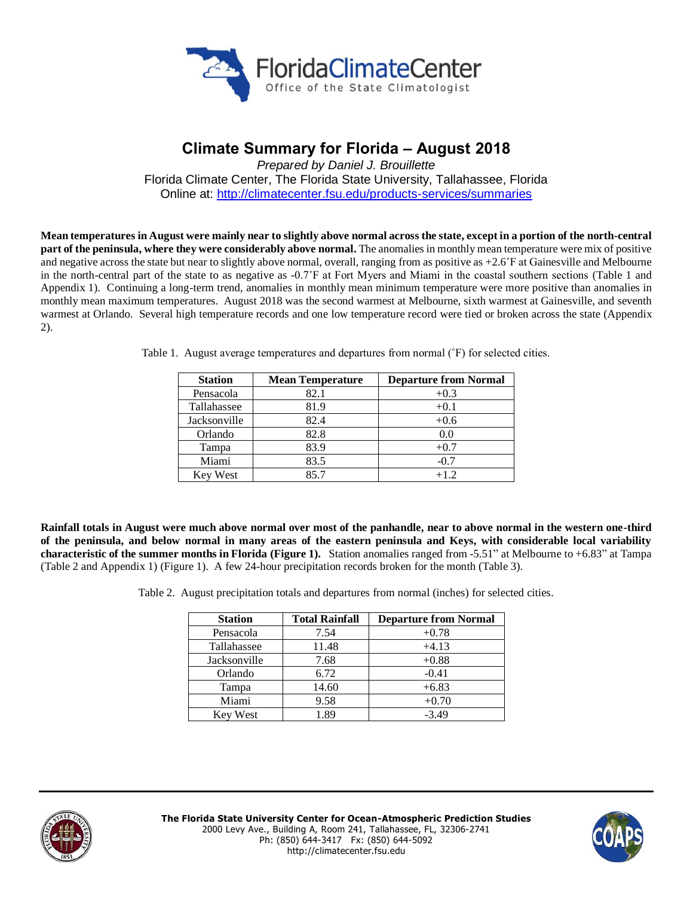

# **Climate Summary for Florida – August 2018**

*Prepared by Daniel J. Brouillette* Florida Climate Center, The Florida State University, Tallahassee, Florida Online at:<http://climatecenter.fsu.edu/products-services/summaries>

**Meantemperatures in August were mainly near to slightly above normal across the state, except in a portion of the north-central part of the peninsula, where they were considerably above normal.** The anomalies in monthly mean temperature were mix of positive and negative across the state but near to slightly above normal, overall, ranging from as positive as +2.6˚F at Gainesville and Melbourne in the north-central part of the state to as negative as -0.7˚F at Fort Myers and Miami in the coastal southern sections (Table 1 and Appendix 1). Continuing a long-term trend, anomalies in monthly mean minimum temperature were more positive than anomalies in monthly mean maximum temperatures. August 2018 was the second warmest at Melbourne, sixth warmest at Gainesville, and seventh warmest at Orlando. Several high temperature records and one low temperature record were tied or broken across the state (Appendix 2).

| <b>Station</b> | <b>Mean Temperature</b> | <b>Departure from Normal</b> |  |
|----------------|-------------------------|------------------------------|--|
| Pensacola      | 82.1                    | $+0.3$                       |  |
| Tallahassee    | 81.9                    | $+0.1$                       |  |
| Jacksonville   | 82.4                    | $+0.6$                       |  |
| Orlando        | 82.8                    | 0.0                          |  |
| Tampa          | 83.9                    | $+0.7$                       |  |
| Miami          | 83.5                    | $-0.7$                       |  |
| Key West       | 85.7                    | $+1.2$                       |  |

Table 1. August average temperatures and departures from normal (˚F) for selected cities.

**Rainfall totals in August were much above normal over most of the panhandle, near to above normal in the western one-third of the peninsula, and below normal in many areas of the eastern peninsula and Keys, with considerable local variability characteristic of the summer months in Florida (Figure 1).** Station anomalies ranged from -5.51" at Melbourne to +6.83" at Tampa (Table 2 and Appendix 1) (Figure 1). A few 24-hour precipitation records broken for the month (Table 3).

Table 2. August precipitation totals and departures from normal (inches) for selected cities.

| <b>Station</b>  | <b>Total Rainfall</b> | <b>Departure from Normal</b> |  |
|-----------------|-----------------------|------------------------------|--|
| Pensacola       | 7.54                  | $+0.78$                      |  |
| Tallahassee     | 11.48                 | $+4.13$                      |  |
| Jacksonville    | 7.68                  | $+0.88$                      |  |
| Orlando         | 6.72                  | $-0.41$                      |  |
| Tampa           | 14.60                 | $+6.83$                      |  |
| Miami           | 9.58                  | $+0.70$                      |  |
| <b>Key West</b> | 1.89                  | $-3.49$                      |  |



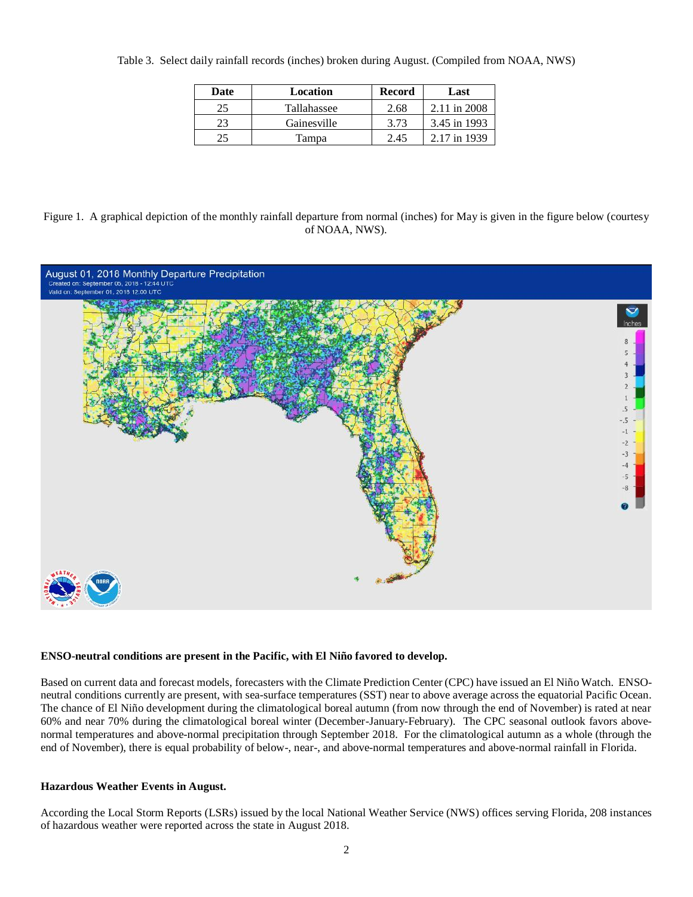| Date | Location    | <b>Record</b> | Last         |
|------|-------------|---------------|--------------|
| 25   | Tallahassee | 2.68          | 2.11 in 2008 |
| 23   | Gainesville | 3.73          | 3.45 in 1993 |
| 25   | Tampa       | 2.45          | 2.17 in 1939 |

Table 3. Select daily rainfall records (inches) broken during August. (Compiled from NOAA, NWS)

Figure 1. A graphical depiction of the monthly rainfall departure from normal (inches) for May is given in the figure below (courtesy of NOAA, NWS).



### **ENSO-neutral conditions are present in the Pacific, with El Niño favored to develop.**

Based on current data and forecast models, forecasters with the Climate Prediction Center (CPC) have issued an El Niño Watch. ENSOneutral conditions currently are present, with sea-surface temperatures (SST) near to above average across the equatorial Pacific Ocean. The chance of El Niño development during the climatological boreal autumn (from now through the end of November) is rated at near 60% and near 70% during the climatological boreal winter (December-January-February). The CPC seasonal outlook favors abovenormal temperatures and above-normal precipitation through September 2018. For the climatological autumn as a whole (through the end of November), there is equal probability of below-, near-, and above-normal temperatures and above-normal rainfall in Florida.

### **Hazardous Weather Events in August.**

According the Local Storm Reports (LSRs) issued by the local National Weather Service (NWS) offices serving Florida, 208 instances of hazardous weather were reported across the state in August 2018.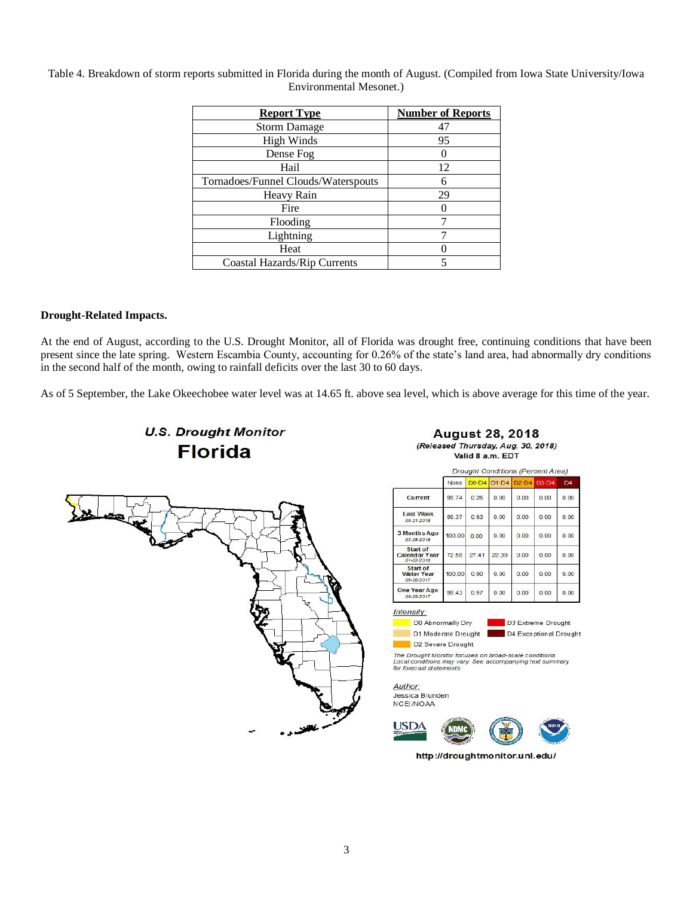Table 4. Breakdown of storm reports submitted in Florida during the month of August. (Compiled from Iowa State University/Iowa Environmental Mesonet.)

| <b>Report Type</b>                  | <b>Number of Reports</b> |
|-------------------------------------|--------------------------|
| <b>Storm Damage</b>                 | 47                       |
| <b>High Winds</b>                   | 95                       |
| Dense Fog                           |                          |
| Hail                                | 12                       |
| Tornadoes/Funnel Clouds/Waterspouts | 6                        |
| Heavy Rain                          | 29                       |
| Fire                                |                          |
| Flooding                            |                          |
| Lightning                           |                          |
| Heat                                |                          |
| Coastal Hazards/Rip Currents        |                          |

### **Drought-Related Impacts.**

At the end of August, according to the U.S. Drought Monitor, all of Florida was drought free, continuing conditions that have been present since the late spring. Western Escambia County, accounting for 0.26% of the state's land area, had abnormally dry conditions in the second half of the month, owing to rainfall deficits over the last 30 to 60 days.

As of 5 September, the Lake Okeechobee water level was at 14.65 ft. above sea level, which is above average for this time of the year.





#### **August 28, 2018** (Released Thursday, Aug. 30, 2018) Valid 8 a.m. EDT

|                                             | <b>Drought Conditions (Percent Area)</b> |         |         |         |         |                |
|---------------------------------------------|------------------------------------------|---------|---------|---------|---------|----------------|
|                                             | None                                     | $D0-D4$ | $D1-D4$ | $D2-D4$ | $D3-D4$ | D <sub>4</sub> |
| Current                                     | 99.74                                    | 0.26    | 0.00    | 0.00    | 0.00    | 0.00           |
| <b>Last Week</b><br>08-21-2018              | 99.37                                    | 0.63    | 0.00    | 0.00    | 0.00    | 0.00           |
| 3 Months Ago<br>05-29-2018                  | 100.00                                   | 0.00    | 0.00    | 0.00    | 0.00    | 0.00           |
| Start of<br>Calendar Year<br>01-02-2018     | 72.59                                    | 27.41   | 22.39   | 0.00    | 0.00    | 0.00           |
| Start of<br><b>Water Year</b><br>09-26-2017 | 100.00                                   | 0.00    | 0.00    | 0.00    | 0.00    | 0.00           |
| One Year Ago<br>08-29-2017                  | 99.43                                    | 0.57    | 0.00    | 0.00    | 0.00    | 0.00           |

Intensity:

D0 Abnormally Dry D1 Moderate Drought

D3 Extreme Drought г D4 Exceptional Drought

D2 Severe Drought

The Drought Monitor focuses on broad-scale conditions.<br>Local conditions may vary. See accompanying text summary<br>for forecast statements.

Author: Jessica Blunden NCEI/NOAA



http://droughtmonitor.unl.edu/